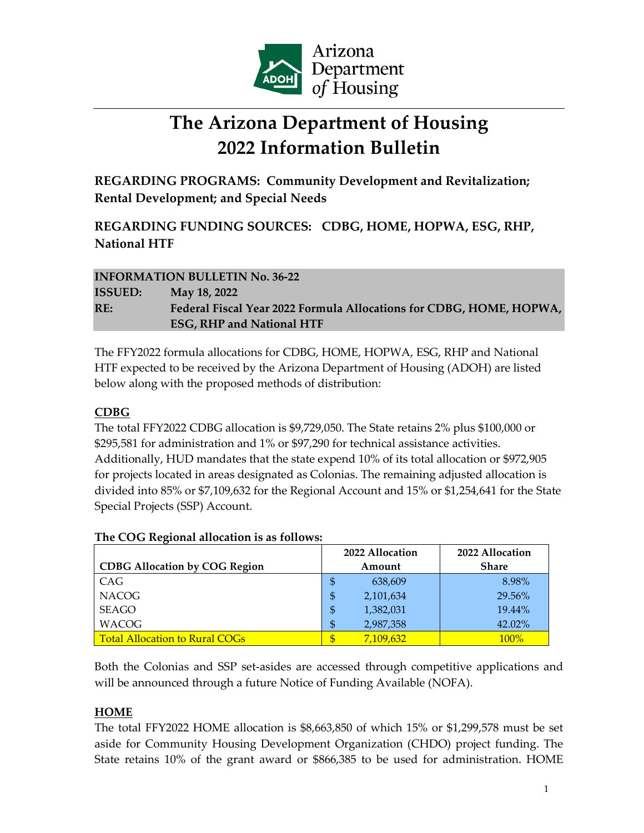

# **The Arizona Department of Housing 2022 Information Bulletin**

**REGARDING PROGRAMS: Community Development and Revitalization; Rental Development; and Special Needs**

**REGARDING FUNDING SOURCES: CDBG, HOME, HOPWA, ESG, RHP, National HTF**

# **INFORMATION BULLETIN No. 36-22 ISSUED: May 18, 2022 RE: Federal Fiscal Year 2022 Formula Allocations for CDBG, HOME, HOPWA, ESG, RHP and National HTF**

The FFY2022 formula allocations for CDBG, HOME, HOPWA, ESG, RHP and National HTF expected to be received by the Arizona Department of Housing (ADOH) are listed below along with the proposed methods of distribution:

## **CDBG**

The total FFY2022 CDBG allocation is \$9,729,050. The State retains 2% plus \$100,000 or \$295,581 for administration and 1% or \$97,290 for technical assistance activities. Additionally, HUD mandates that the state expend 10% of its total allocation or \$972,905 for projects located in areas designated as Colonias. The remaining adjusted allocation is divided into 85% or \$7,109,632 for the Regional Account and 15% or \$1,254,641 for the State Special Projects (SSP) Account.

|                                       | 2022 Allocation | 2022 Allocation |
|---------------------------------------|-----------------|-----------------|
| <b>CDBG Allocation by COG Region</b>  | Amount          | <b>Share</b>    |
| CAG                                   | 638,609<br>\$   | 8.98%           |
| <b>NACOG</b>                          | 2,101,634       | 29.56%          |
| SEAGO                                 | 1,382,031<br>\$ | 19.44%          |
| <b>WACOG</b>                          | 2,987,358<br>S  | 42.02%          |
| <b>Total Allocation to Rural COGs</b> | 7,109,632       | $100\%$         |

#### **The COG Regional allocation is as follows:**

Both the Colonias and SSP set-asides are accessed through competitive applications and will be announced through a future Notice of Funding Available (NOFA).

## **HOME**

The total FFY2022 HOME allocation is \$8,663,850 of which 15% or \$1,299,578 must be set aside for Community Housing Development Organization (CHDO) project funding. The State retains 10% of the grant award or \$866,385 to be used for administration. HOME